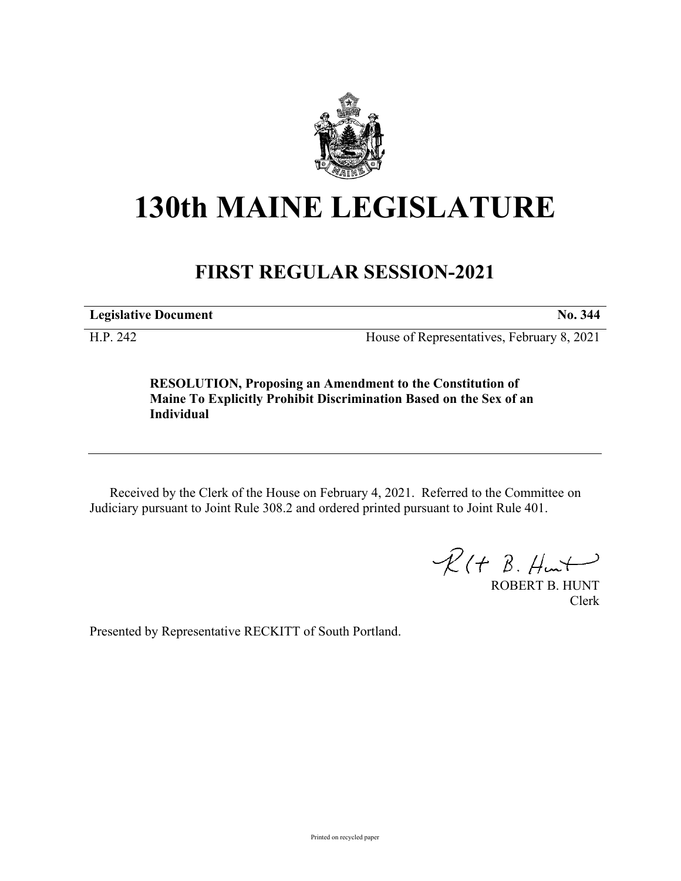

## **130th MAINE LEGISLATURE**

## **FIRST REGULAR SESSION-2021**

**Legislative Document No. 344**

H.P. 242 House of Representatives, February 8, 2021

**RESOLUTION, Proposing an Amendment to the Constitution of Maine To Explicitly Prohibit Discrimination Based on the Sex of an Individual**

Received by the Clerk of the House on February 4, 2021. Referred to the Committee on Judiciary pursuant to Joint Rule 308.2 and ordered printed pursuant to Joint Rule 401.

 $R(H B. Hmt)$ 

ROBERT B. HUNT Clerk

Presented by Representative RECKITT of South Portland.